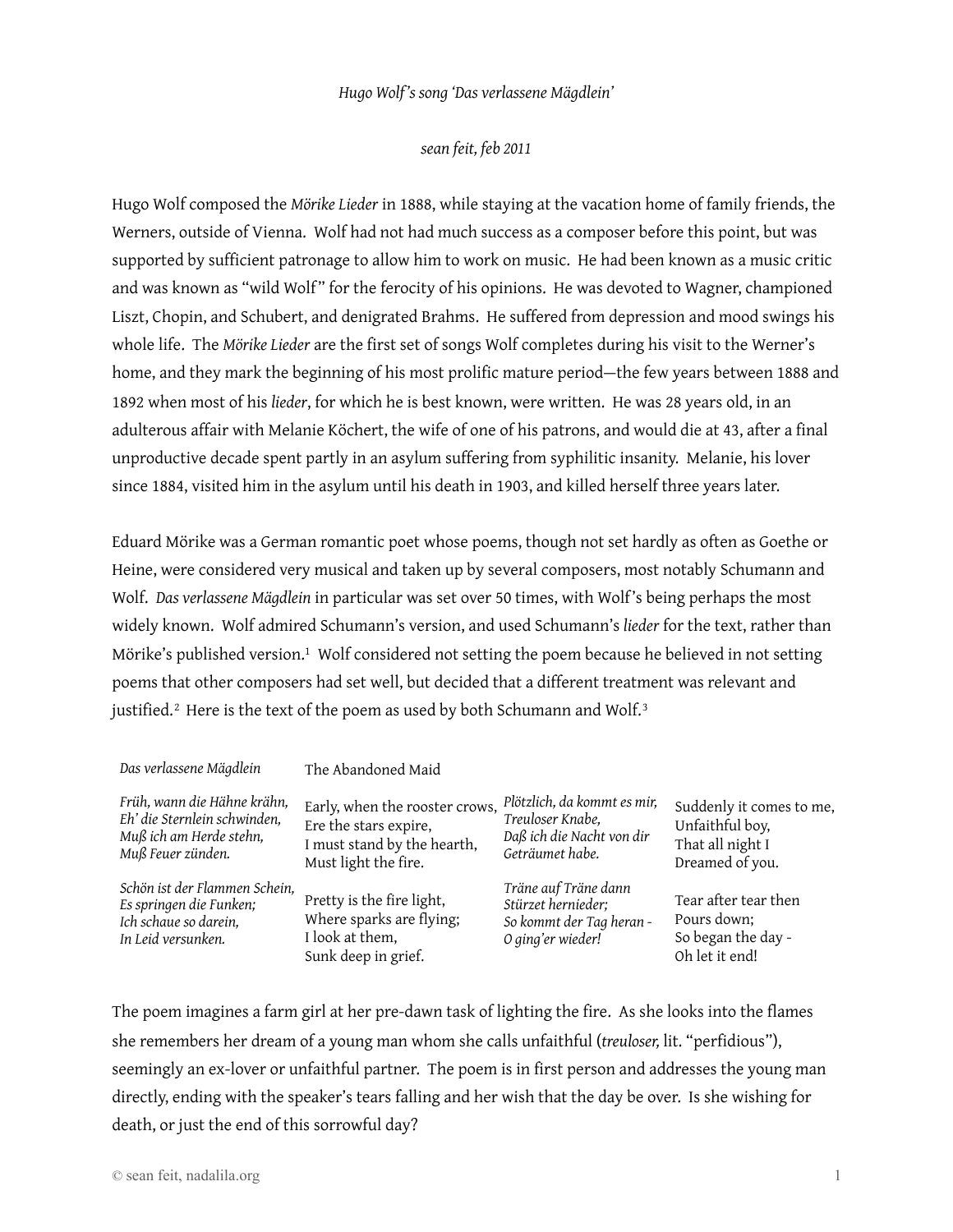## *Hugo Wolf's song 'Das verlassene Mägdlein'*

## *sean feit, feb 2011*

Hugo Wolf composed the *Mörike Lieder* in 1888, while staying at the vacation home of family friends, the Werners, outside of Vienna. Wolf had not had much success as a composer before this point, but was supported by sufficient patronage to allow him to work on music. He had been known as a music critic and was known as "wild Wolf" for the ferocity of his opinions. He was devoted to Wagner, championed Liszt, Chopin, and Schubert, and denigrated Brahms. He suffered from depression and mood swings his whole life. The *Mörike Lieder* are the first set of songs Wolf completes during his visit to the Werner's home, and they mark the beginning of his most prolific mature period—the few years between 1888 and 1892 when most of his *lieder*, for which he is best known, were written. He was 28 years old, in an adulterous affair with Melanie Köchert, the wife of one of his patrons, and would die at 43, after a final unproductive decade spent partly in an asylum suffering from syphilitic insanity. Melanie, his lover since 1884, visited him in the asylum until his death in 1903, and killed herself three years later.

Eduard Mörike was a German romantic poet whose poems, though not set hardly as often as Goethe or Heine, were considered very musical and taken up by several composers, most notably Schumann and Wolf. *Das verlassene Mägdlein* in particular was set over 50 times, with Wolf's being perhaps the most widely known. Wolf admired Schumann's version, and used Schumann's *lieder* for the text, rather than Mörike's published version.<sup>[1](#page-6-0)</sup> Wolf considered not setting the poem because he believed in not setting poems that other composers had set well, but decided that a different treatment was relevant and justified. $^2$  $^2$  Here is the text of the poem as used by both Schumann and Wolf. $^3$  $^3$ 

| Das verlassene Mägdlein       | The Abandoned Maid             |                             |                          |
|-------------------------------|--------------------------------|-----------------------------|--------------------------|
| Früh, wann die Hähne krähn,   | Early, when the rooster crows, | Plötzlich, da kommt es mir, | Suddenly it comes to me, |
| Eh' die Sternlein schwinden,  | Ere the stars expire,          | Treuloser Knabe,            | Unfaithful boy,          |
| Muß ich am Herde stehn,       | I must stand by the hearth,    | Daß ich die Nacht von dir   | That all night I         |
| Muß Feuer zünden.             | Must light the fire.           | Geträumet habe.             | Dreamed of you.          |
| Schön ist der Flammen Schein, | Pretty is the fire light,      | Träne auf Träne dann        | Tear after tear then     |
| Es springen die Funken;       | Where sparks are flying;       | Stürzet hernieder;          | Pours down;              |
| Ich schaue so darein,         | I look at them,                | So kommt der Tag heran -    | So began the day -       |
| In Leid versunken.            | Sunk deep in grief.            | O ging'er wieder!           | Oh let it end!           |

The poem imagines a farm girl at her pre-dawn task of lighting the fire. As she looks into the flames she remembers her dream of a young man whom she calls unfaithful (*treuloser,* lit. "perfidious"), seemingly an ex-lover or unfaithful partner. The poem is in first person and addresses the young man directly, ending with the speaker's tears falling and her wish that the day be over. Is she wishing for death, or just the end of this sorrowful day?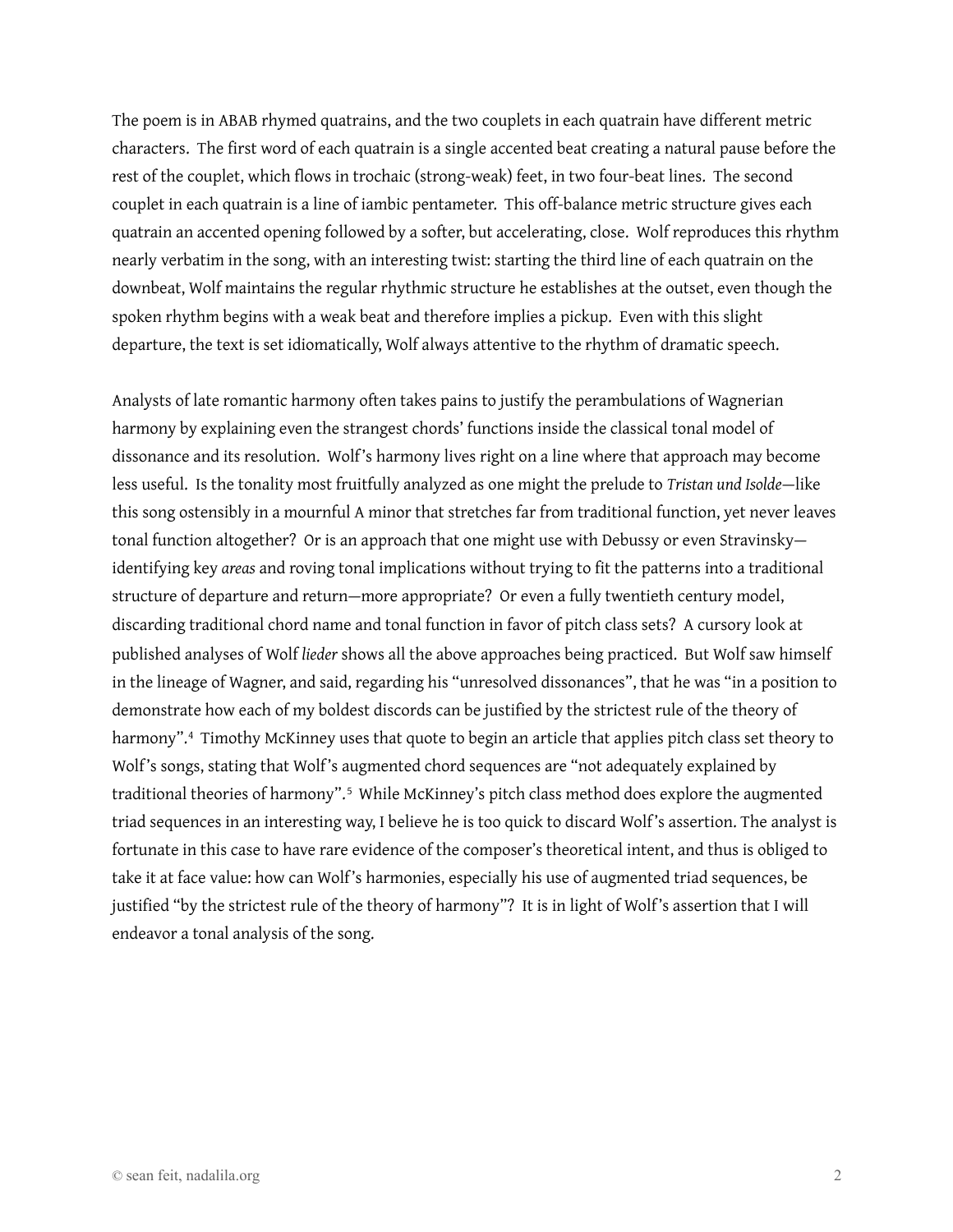The poem is in ABAB rhymed quatrains, and the two couplets in each quatrain have different metric characters. The first word of each quatrain is a single accented beat creating a natural pause before the rest of the couplet, which flows in trochaic (strong-weak) feet, in two four-beat lines. The second couplet in each quatrain is a line of iambic pentameter. This off-balance metric structure gives each quatrain an accented opening followed by a softer, but accelerating, close. Wolf reproduces this rhythm nearly verbatim in the song, with an interesting twist: starting the third line of each quatrain on the downbeat, Wolf maintains the regular rhythmic structure he establishes at the outset, even though the spoken rhythm begins with a weak beat and therefore implies a pickup. Even with this slight departure, the text is set idiomatically, Wolf always attentive to the rhythm of dramatic speech.

Analysts of late romantic harmony often takes pains to justify the perambulations of Wagnerian harmony by explaining even the strangest chords' functions inside the classical tonal model of dissonance and its resolution. Wolf's harmony lives right on a line where that approach may become less useful. Is the tonality most fruitfully analyzed as one might the prelude to *Tristan und Isolde*—like this song ostensibly in a mournful A minor that stretches far from traditional function, yet never leaves tonal function altogether? Or is an approach that one might use with Debussy or even Stravinsky identifying key *areas* and roving tonal implications without trying to fit the patterns into a traditional structure of departure and return—more appropriate? Or even a fully twentieth century model, discarding traditional chord name and tonal function in favor of pitch class sets? A cursory look at published analyses of Wolf *lieder* shows all the above approaches being practiced. But Wolf saw himself in the lineage of Wagner, and said, regarding his "unresolved dissonances", that he was "in a position to demonstrate how each of my boldest discords can be justified by the strictest rule of the theory of harmony".[4](#page-6-3) Timothy McKinney uses that quote to begin an article that applies pitch class set theory to Wolf's songs, stating that Wolf's augmented chord sequences are "not adequately explained by traditional theories of harmony".<sup>[5](#page-6-4)</sup> While McKinney's pitch class method does explore the augmented triad sequences in an interesting way, I believe he is too quick to discard Wolf's assertion. The analyst is fortunate in this case to have rare evidence of the composer's theoretical intent, and thus is obliged to take it at face value: how can Wolf's harmonies, especially his use of augmented triad sequences, be justified "by the strictest rule of the theory of harmony"? It is in light of Wolf's assertion that I will endeavor a tonal analysis of the song.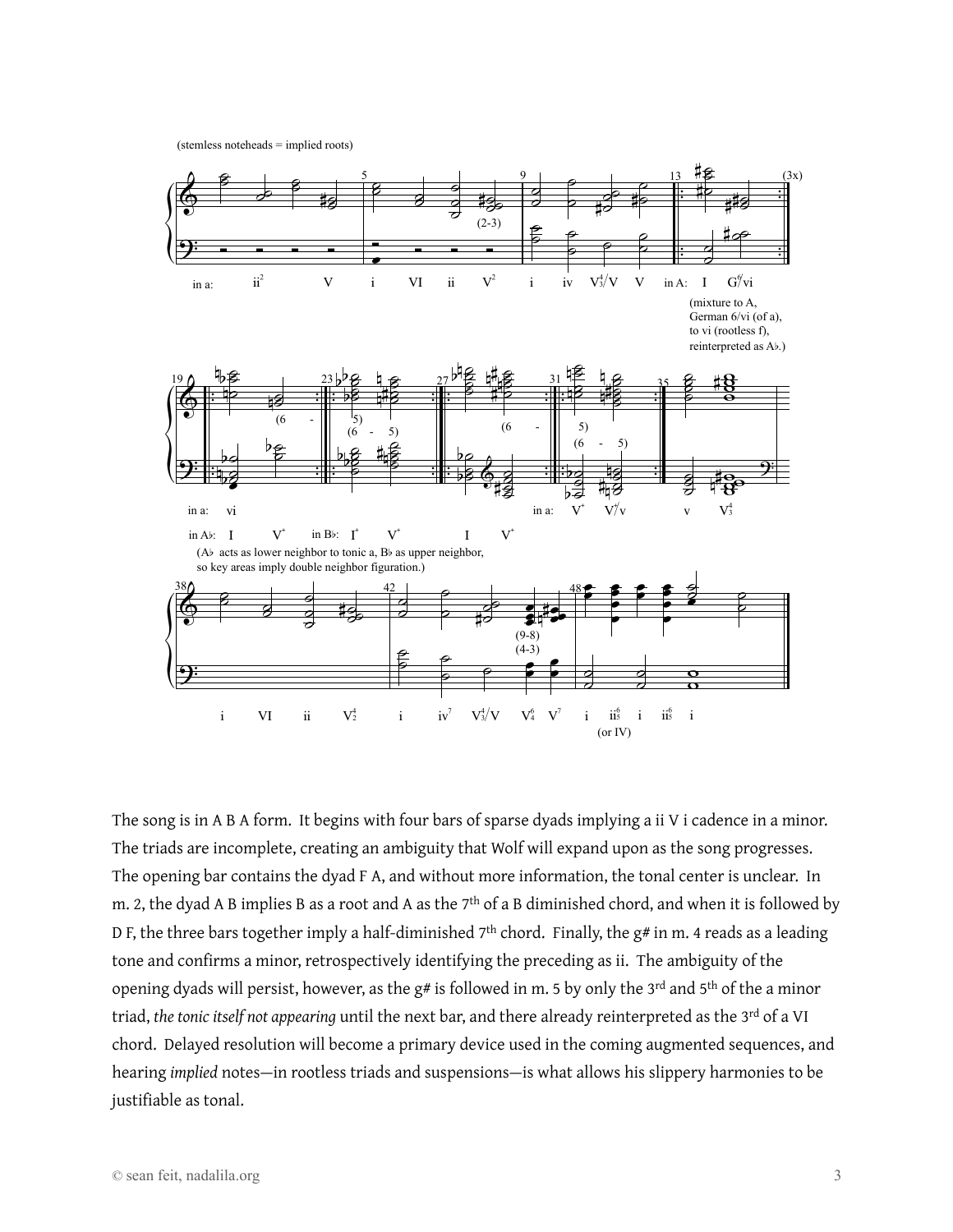(stemless noteheads = implied roots)



The song is in A B A form. It begins with four bars of sparse dyads implying a ii V i cadence in a minor. The triads are incomplete, creating an ambiguity that Wolf will expand upon as the song progresses. The opening bar contains the dyad F A, and without more information, the tonal center is unclear. In m. 2, the dyad A B implies B as a root and A as the 7<sup>th</sup> of a B diminished chord, and when it is followed by D F, the three bars together imply a half-diminished  $7<sup>th</sup>$  chord. Finally, the g# in m. 4 reads as a leading tone and confirms a minor, retrospectively identifying the preceding as ii. The ambiguity of the opening dyads will persist, however, as the  $g#$  is followed in m. 5 by only the 3<sup>rd</sup> and 5<sup>th</sup> of the a minor triad, *the tonic itself not appearing* until the next bar, and there already reinterpreted as the 3rd of a VI chord. Delayed resolution will become a primary device used in the coming augmented sequences, and hearing *implied* notes—in rootless triads and suspensions—is what allows his slippery harmonies to be justifiable as tonal.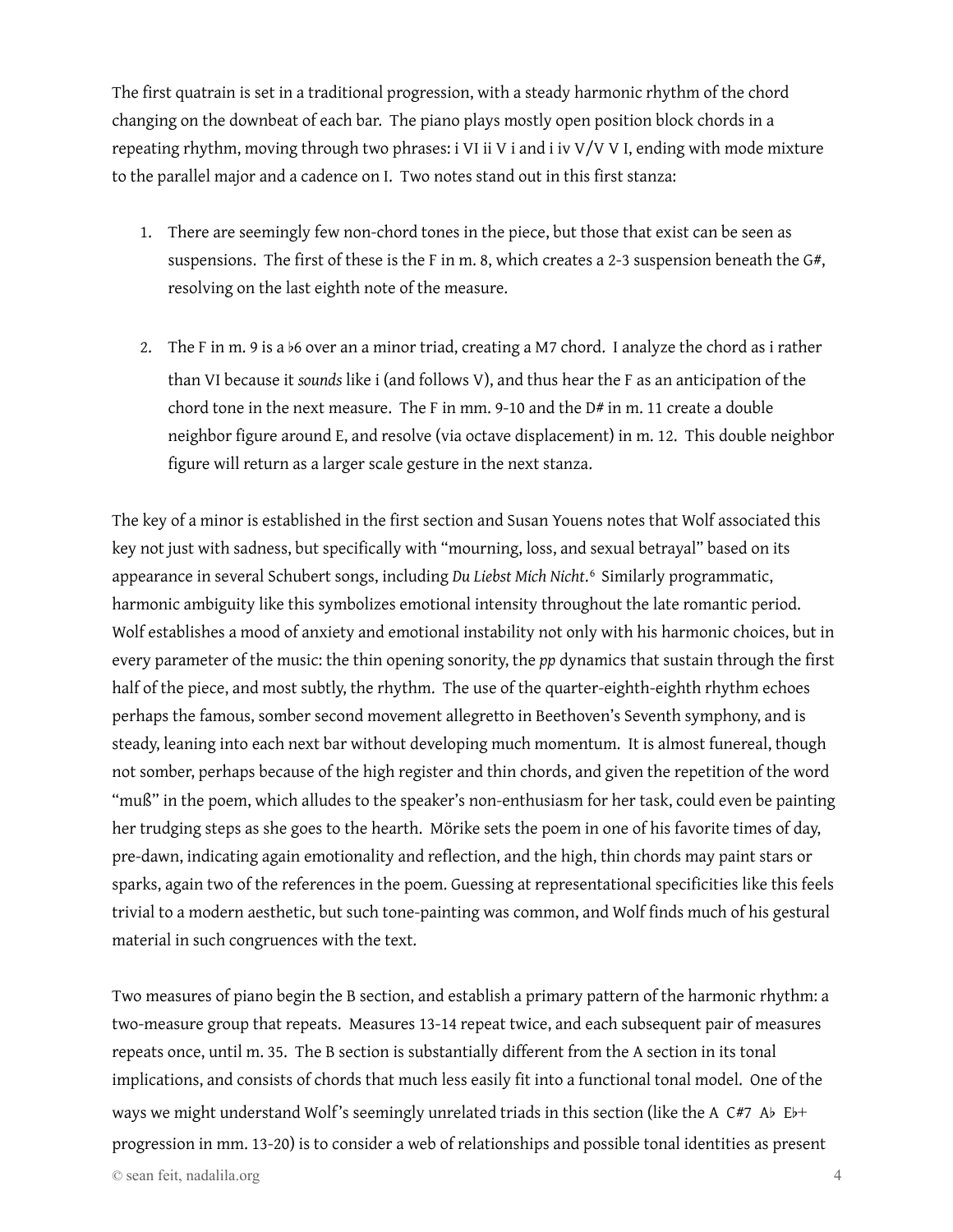The first quatrain is set in a traditional progression, with a steady harmonic rhythm of the chord changing on the downbeat of each bar. The piano plays mostly open position block chords in a repeating rhythm, moving through two phrases: i VI ii V i and i iv V/V V I, ending with mode mixture to the parallel major and a cadence on I. Two notes stand out in this first stanza:

- 1. There are seemingly few non-chord tones in the piece, but those that exist can be seen as suspensions. The first of these is the F in m. 8, which creates a 2-3 suspension beneath the G#, resolving on the last eighth note of the measure.
- 2. The F in m. 9 is a b6 over an a minor triad, creating a M7 chord. I analyze the chord as i rather than VI because it *sounds* like i (and follows V), and thus hear the F as an anticipation of the chord tone in the next measure. The F in mm. 9-10 and the  $D#$  in m. 11 create a double neighbor figure around E, and resolve (via octave displacement) in m. 12. This double neighbor figure will return as a larger scale gesture in the next stanza.

The key of a minor is established in the first section and Susan Youens notes that Wolf associated this key not just with sadness, but specifically with "mourning, loss, and sexual betrayal" based on its appearance in several Schubert songs, including *Du Liebst Mich Nicht*.[6](#page-6-5) Similarly programmatic, harmonic ambiguity like this symbolizes emotional intensity throughout the late romantic period. Wolf establishes a mood of anxiety and emotional instability not only with his harmonic choices, but in every parameter of the music: the thin opening sonority, the *pp* dynamics that sustain through the first half of the piece, and most subtly, the rhythm. The use of the quarter-eighth-eighth rhythm echoes perhaps the famous, somber second movement allegretto in Beethoven's Seventh symphony, and is steady, leaning into each next bar without developing much momentum. It is almost funereal, though not somber, perhaps because of the high register and thin chords, and given the repetition of the word "muß" in the poem, which alludes to the speaker's non-enthusiasm for her task, could even be painting her trudging steps as she goes to the hearth. Mörike sets the poem in one of his favorite times of day, pre-dawn, indicating again emotionality and reflection, and the high, thin chords may paint stars or sparks, again two of the references in the poem. Guessing at representational specificities like this feels trivial to a modern aesthetic, but such tone-painting was common, and Wolf finds much of his gestural material in such congruences with the text.

Two measures of piano begin the B section, and establish a primary pattern of the harmonic rhythm: a two-measure group that repeats. Measures 13-14 repeat twice, and each subsequent pair of measures repeats once, until m. 35. The B section is substantially different from the A section in its tonal implications, and consists of chords that much less easily fit into a functional tonal model. One of the ways we might understand Wolf's seemingly unrelated triads in this section (like the A C#7 Ab Eb+ progression in mm. 13-20) is to consider a web of relationships and possible tonal identities as present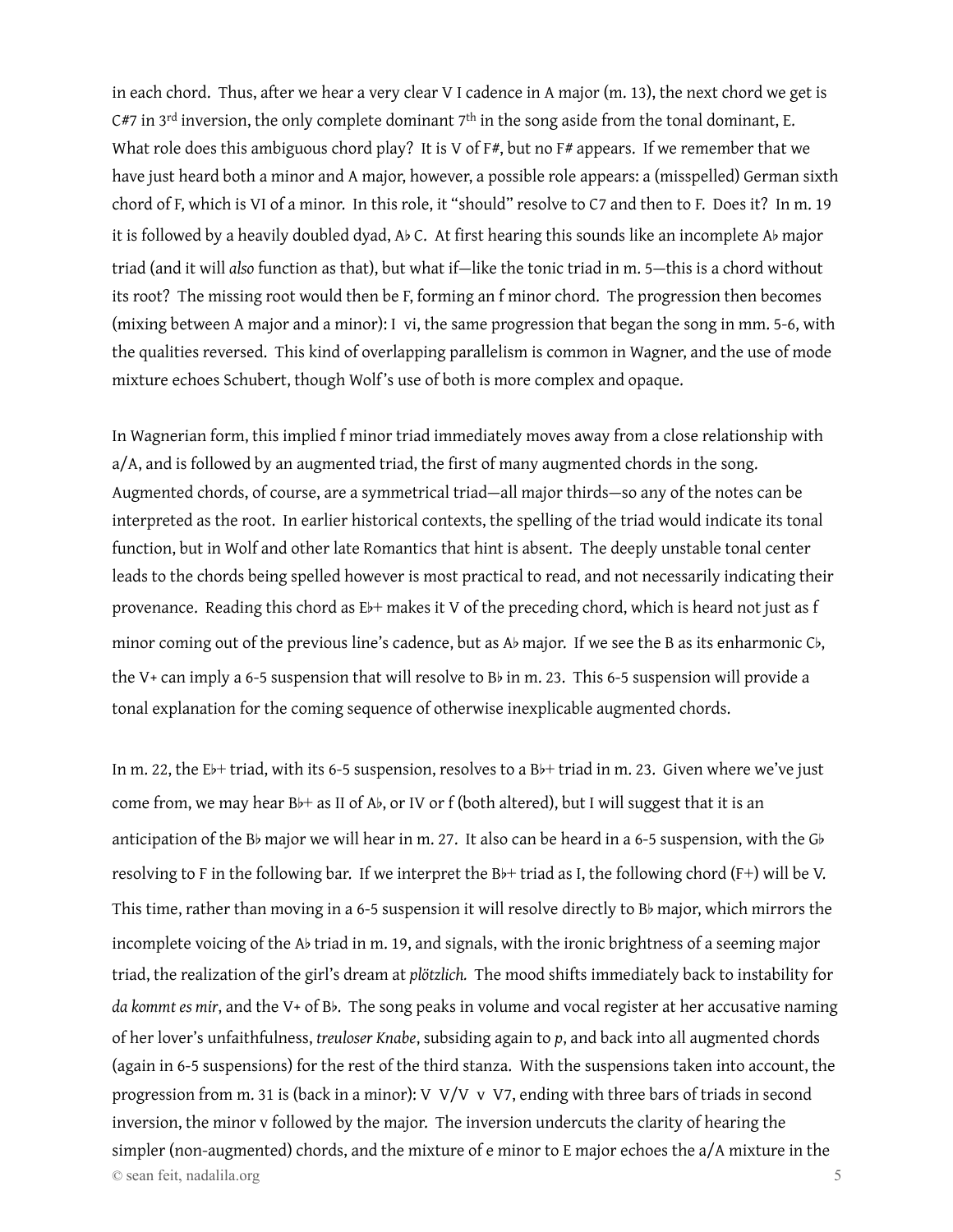in each chord. Thus, after we hear a very clear V I cadence in A major (m. 13), the next chord we get is  $C#7$  in 3<sup>rd</sup> inversion, the only complete dominant 7<sup>th</sup> in the song aside from the tonal dominant, E. What role does this ambiguous chord play? It is V of F#, but no F# appears. If we remember that we have just heard both a minor and A major, however, a possible role appears: a (misspelled) German sixth chord of F, which is VI of a minor. In this role, it "should" resolve to C7 and then to F. Does it? In m. 19 it is followed by a heavily doubled dyad, Ab C. At first hearing this sounds like an incomplete Ab major triad (and it will *also* function as that), but what if—like the tonic triad in m. 5—this is a chord without its root? The missing root would then be F, forming an f minor chord. The progression then becomes (mixing between A major and a minor): I vi, the same progression that began the song in mm. 5-6, with the qualities reversed. This kind of overlapping parallelism is common in Wagner, and the use of mode mixture echoes Schubert, though Wolf's use of both is more complex and opaque.

In Wagnerian form, this implied f minor triad immediately moves away from a close relationship with a/A, and is followed by an augmented triad, the first of many augmented chords in the song. Augmented chords, of course, are a symmetrical triad—all major thirds—so any of the notes can be interpreted as the root. In earlier historical contexts, the spelling of the triad would indicate its tonal function, but in Wolf and other late Romantics that hint is absent. The deeply unstable tonal center leads to the chords being spelled however is most practical to read, and not necessarily indicating their provenance. Reading this chord as E<sub>b+</sub> makes it V of the preceding chord, which is heard not just as f minor coming out of the previous line's cadence, but as Ab major. If we see the B as its enharmonic Cb, the V+ can imply a 6-5 suspension that will resolve to Bb in m. 23. This 6-5 suspension will provide a tonal explanation for the coming sequence of otherwise inexplicable augmented chords.

In m. 22, the Eb+ triad, with its 6-5 suspension, resolves to a Bb+ triad in m. 23. Given where we've just come from, we may hear  $B$  $\mapsto$  as II of A $\flat$ , or IV or f (both altered), but I will suggest that it is an anticipation of the Bb major we will hear in m. 27. It also can be heard in a 6-5 suspension, with the Gb resolving to F in the following bar. If we interpret the Bb+ triad as I, the following chord (F+) will be V. This time, rather than moving in a 6-5 suspension it will resolve directly to Bb major, which mirrors the incomplete voicing of the Ab triad in m. 19, and signals, with the ironic brightness of a seeming major triad, the realization of the girl's dream at *plötzlich.* The mood shifts immediately back to instability for *da kommt es mir*, and the V+ of Bb. The song peaks in volume and vocal register at her accusative naming of her lover's unfaithfulness, *treuloser Knabe*, subsiding again to *p*, and back into all augmented chords (again in 6-5 suspensions) for the rest of the third stanza. With the suspensions taken into account, the progression from m. 31 is (back in a minor): V V/V v V7, ending with three bars of triads in second inversion, the minor v followed by the major. The inversion undercuts the clarity of hearing the simpler (non-augmented) chords, and the mixture of e minor to E major echoes the a/A mixture in the © sean feit, nadalila.org 5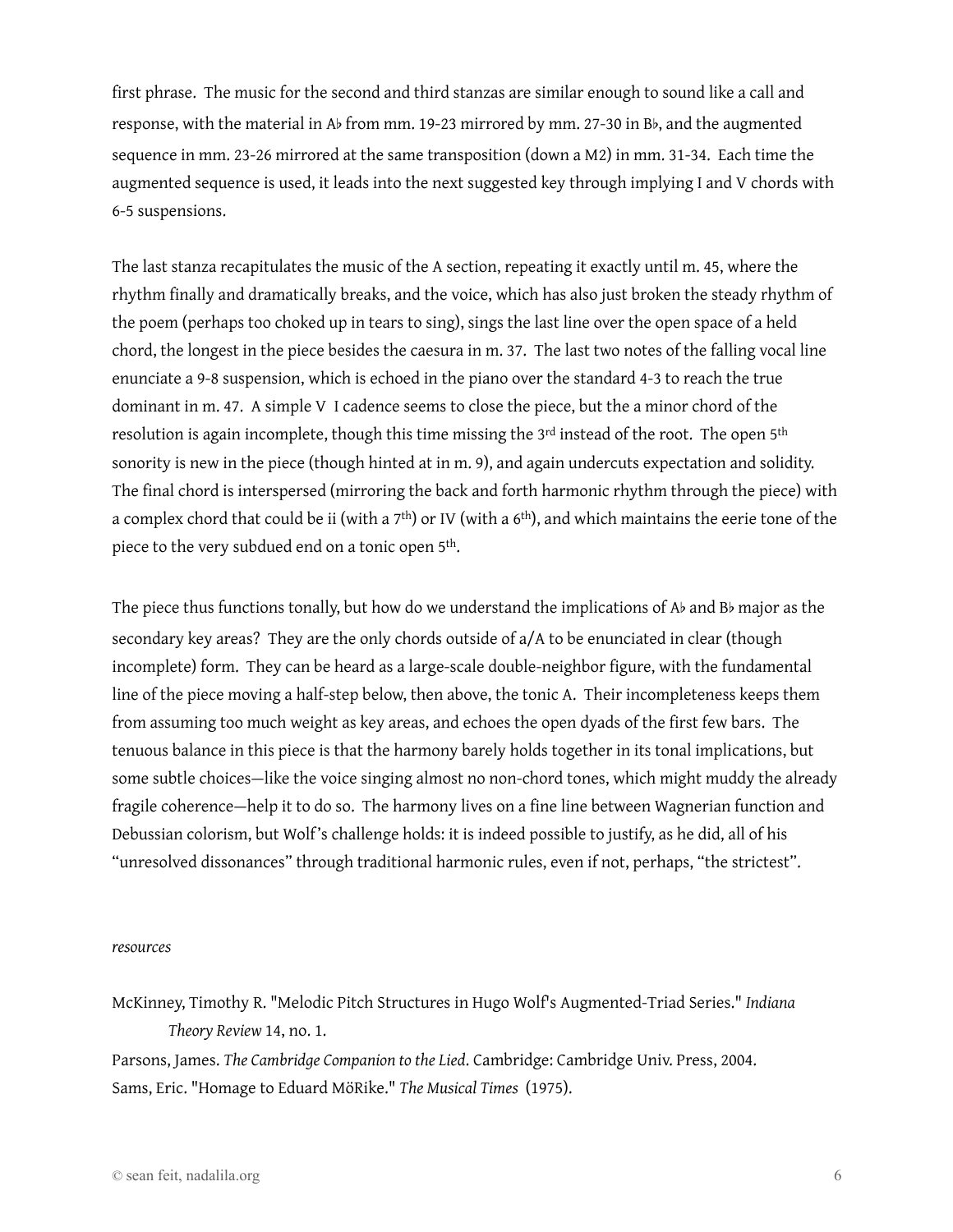first phrase. The music for the second and third stanzas are similar enough to sound like a call and response, with the material in Ab from mm. 19-23 mirrored by mm. 27-30 in Bb, and the augmented sequence in mm. 23-26 mirrored at the same transposition (down a M2) in mm. 31-34. Each time the augmented sequence is used, it leads into the next suggested key through implying I and V chords with 6-5 suspensions.

The last stanza recapitulates the music of the A section, repeating it exactly until m. 45, where the rhythm finally and dramatically breaks, and the voice, which has also just broken the steady rhythm of the poem (perhaps too choked up in tears to sing), sings the last line over the open space of a held chord, the longest in the piece besides the caesura in m. 37. The last two notes of the falling vocal line enunciate a 9-8 suspension, which is echoed in the piano over the standard 4-3 to reach the true dominant in m. 47. A simple V I cadence seems to close the piece, but the a minor chord of the resolution is again incomplete, though this time missing the 3<sup>rd</sup> instead of the root. The open 5<sup>th</sup> sonority is new in the piece (though hinted at in m. 9), and again undercuts expectation and solidity. The final chord is interspersed (mirroring the back and forth harmonic rhythm through the piece) with a complex chord that could be ii (with a  $7<sup>th</sup>$ ) or IV (with a  $6<sup>th</sup>$ ), and which maintains the eerie tone of the piece to the very subdued end on a tonic open 5th.

The piece thus functions tonally, but how do we understand the implications of Ab and Bb major as the secondary key areas? They are the only chords outside of a/A to be enunciated in clear (though incomplete) form. They can be heard as a large-scale double-neighbor figure, with the fundamental line of the piece moving a half-step below, then above, the tonic A. Their incompleteness keeps them from assuming too much weight as key areas, and echoes the open dyads of the first few bars. The tenuous balance in this piece is that the harmony barely holds together in its tonal implications, but some subtle choices—like the voice singing almost no non-chord tones, which might muddy the already fragile coherence—help it to do so. The harmony lives on a fine line between Wagnerian function and Debussian colorism, but Wolf's challenge holds: it is indeed possible to justify, as he did, all of his "unresolved dissonances" through traditional harmonic rules, even if not, perhaps, "the strictest".

## *resources*

McKinney, Timothy R. "Melodic Pitch Structures in Hugo Wolf's Augmented-Triad Series." *Indiana Theory Review* 14, no. 1.

Parsons, James. *The Cambridge Companion to the Lied*. Cambridge: Cambridge Univ. Press, 2004. Sams, Eric. "Homage to Eduard MöRike." *The Musical Times* (1975).